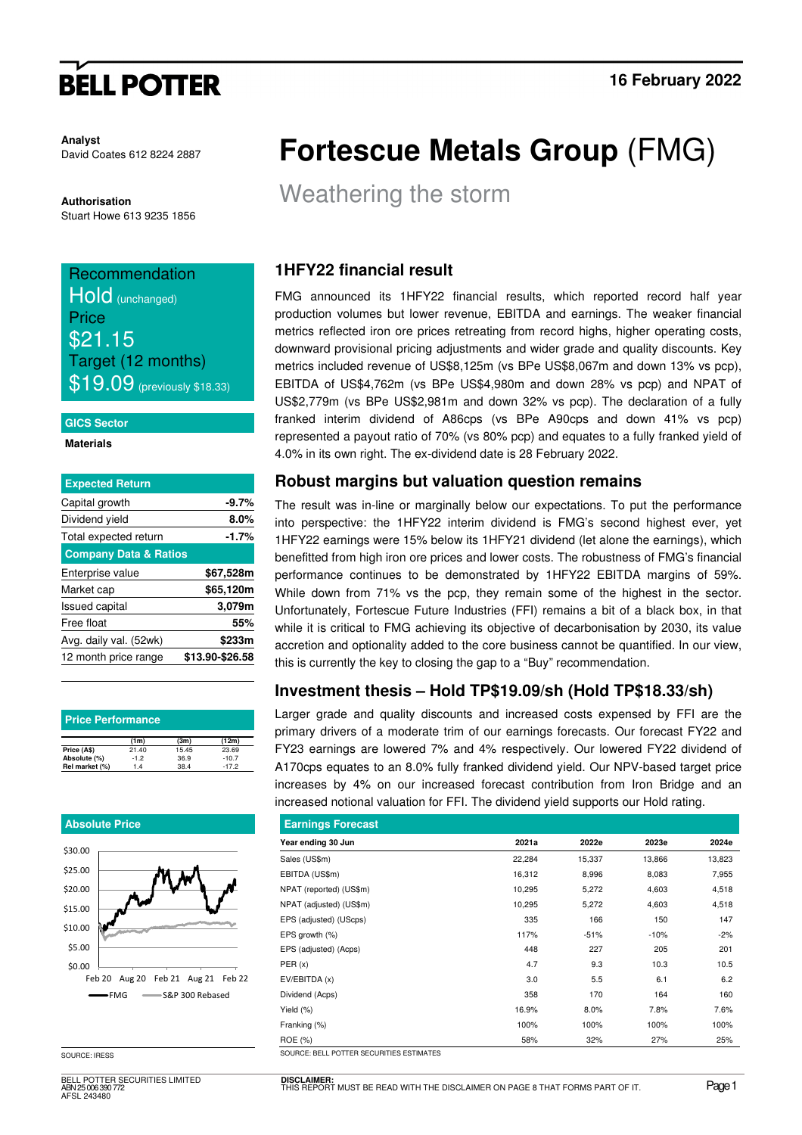# **BELL POTTER**

**Analyst**  David Coates 612 8224 2887

**Authorisation**  Stuart Howe 613 9235 1856

# Recommendation Hold (unchanged) Price \$21.15 Target (12 months)  $$19.09$  (previously \$18.33)

### **GICS Sector**

### **Materials**

| <b>Expected Return</b>           |                 |
|----------------------------------|-----------------|
| Capital growth                   | $-9.7%$         |
| Dividend yield                   | 8.0%            |
| Total expected return            | -1.7%           |
| <b>Company Data &amp; Ratios</b> |                 |
| Enterprise value                 | \$67,528m       |
| Market cap                       | \$65,120m       |
| <b>Issued capital</b>            | 3,079m          |
| Free float                       | 55%             |
| Avg. daily val. (52wk)           | \$233m          |
| 12 month price range             | \$13.90-\$26.58 |
|                                  |                 |

| <b>Price Performance</b> |        |       |         |  |  |  |  |  |  |  |
|--------------------------|--------|-------|---------|--|--|--|--|--|--|--|
|                          | (1m)   | (3m)  | (12m)   |  |  |  |  |  |  |  |
| Price (A\$)              | 21.40  | 15.45 | 23.69   |  |  |  |  |  |  |  |
| Absolute (%)             | $-1.2$ | 36.9  | $-10.7$ |  |  |  |  |  |  |  |
| Rel market (%)           | 1.4    | 38.4  | $-17.2$ |  |  |  |  |  |  |  |

### **Absolute Price**



SOURCE: IRESS

BELL POTTER SECURITIES LIMITED ABN 25 006 390 772 AFSL 243480

# **Fortescue Metals Group** (FMG)

Weathering the storm

## **1HFY22 financial result**

FMG announced its 1HFY22 financial results, which reported record half year production volumes but lower revenue, EBITDA and earnings. The weaker financial metrics reflected iron ore prices retreating from record highs, higher operating costs, downward provisional pricing adjustments and wider grade and quality discounts. Key metrics included revenue of US\$8,125m (vs BPe US\$8,067m and down 13% vs pcp), EBITDA of US\$4,762m (vs BPe US\$4,980m and down 28% vs pcp) and NPAT of US\$2,779m (vs BPe US\$2,981m and down 32% vs pcp). The declaration of a fully franked interim dividend of A86cps (vs BPe A90cps and down 41% vs pcp) represented a payout ratio of 70% (vs 80% pcp) and equates to a fully franked yield of 4.0% in its own right. The ex-dividend date is 28 February 2022.

## **Robust margins but valuation question remains**

The result was in-line or marginally below our expectations. To put the performance into perspective: the 1HFY22 interim dividend is FMG's second highest ever, yet 1HFY22 earnings were 15% below its 1HFY21 dividend (let alone the earnings), which benefitted from high iron ore prices and lower costs. The robustness of FMG's financial performance continues to be demonstrated by 1HFY22 EBITDA margins of 59%. While down from 71% vs the pcp, they remain some of the highest in the sector. Unfortunately, Fortescue Future Industries (FFI) remains a bit of a black box, in that while it is critical to FMG achieving its objective of decarbonisation by 2030, its value accretion and optionality added to the core business cannot be quantified. In our view, this is currently the key to closing the gap to a "Buy" recommendation.

## **Investment thesis – Hold TP\$19.09/sh (Hold TP\$18.33/sh)**

Larger grade and quality discounts and increased costs expensed by FFI are the primary drivers of a moderate trim of our earnings forecasts. Our forecast FY22 and FY23 earnings are lowered 7% and 4% respectively. Our lowered FY22 dividend of A170cps equates to an 8.0% fully franked dividend yield. Our NPV-based target price increases by 4% on our increased forecast contribution from Iron Bridge and an increased notional valuation for FFI. The dividend yield supports our Hold rating.

|        | <b>Earnings Forecast</b> |        |        |  |  |  |  |  |  |  |  |  |  |
|--------|--------------------------|--------|--------|--|--|--|--|--|--|--|--|--|--|
| 2021a  | 2022e                    | 2023e  | 2024e  |  |  |  |  |  |  |  |  |  |  |
| 22,284 | 15,337                   | 13,866 | 13,823 |  |  |  |  |  |  |  |  |  |  |
| 16,312 | 8,996                    | 8,083  | 7,955  |  |  |  |  |  |  |  |  |  |  |
| 10,295 | 5,272                    | 4,603  | 4,518  |  |  |  |  |  |  |  |  |  |  |
| 10,295 | 5,272                    | 4,603  | 4,518  |  |  |  |  |  |  |  |  |  |  |
| 335    | 166                      | 150    | 147    |  |  |  |  |  |  |  |  |  |  |
| 117%   | $-51%$                   | $-10%$ | $-2%$  |  |  |  |  |  |  |  |  |  |  |
| 448    | 227                      | 205    | 201    |  |  |  |  |  |  |  |  |  |  |
| 4.7    | 9.3                      | 10.3   | 10.5   |  |  |  |  |  |  |  |  |  |  |
| 3.0    | 5.5                      | 6.1    | 6.2    |  |  |  |  |  |  |  |  |  |  |
| 358    | 170                      | 164    | 160    |  |  |  |  |  |  |  |  |  |  |
| 16.9%  | 8.0%                     | 7.8%   | 7.6%   |  |  |  |  |  |  |  |  |  |  |
| 100%   | 100%                     | 100%   | 100%   |  |  |  |  |  |  |  |  |  |  |
| 58%    | 32%                      | 27%    | 25%    |  |  |  |  |  |  |  |  |  |  |
|        |                          |        |        |  |  |  |  |  |  |  |  |  |  |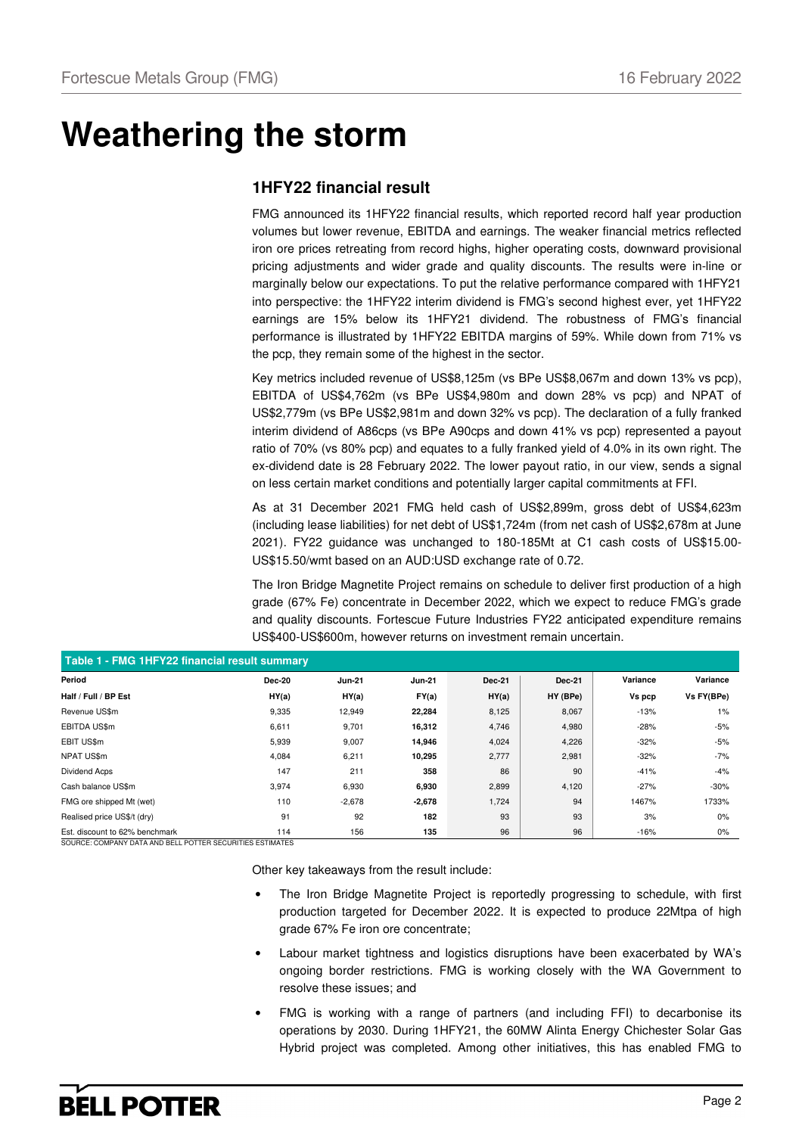# **Weathering the storm**

## **1HFY22 financial result**

FMG announced its 1HFY22 financial results, which reported record half year production volumes but lower revenue, EBITDA and earnings. The weaker financial metrics reflected iron ore prices retreating from record highs, higher operating costs, downward provisional pricing adjustments and wider grade and quality discounts. The results were in-line or marginally below our expectations. To put the relative performance compared with 1HFY21 into perspective: the 1HFY22 interim dividend is FMG's second highest ever, yet 1HFY22 earnings are 15% below its 1HFY21 dividend. The robustness of FMG's financial performance is illustrated by 1HFY22 EBITDA margins of 59%. While down from 71% vs the pcp, they remain some of the highest in the sector.

Key metrics included revenue of US\$8,125m (vs BPe US\$8,067m and down 13% vs pcp), EBITDA of US\$4,762m (vs BPe US\$4,980m and down 28% vs pcp) and NPAT of US\$2,779m (vs BPe US\$2,981m and down 32% vs pcp). The declaration of a fully franked interim dividend of A86cps (vs BPe A90cps and down 41% vs pcp) represented a payout ratio of 70% (vs 80% pcp) and equates to a fully franked yield of 4.0% in its own right. The ex-dividend date is 28 February 2022. The lower payout ratio, in our view, sends a signal on less certain market conditions and potentially larger capital commitments at FFI.

As at 31 December 2021 FMG held cash of US\$2,899m, gross debt of US\$4,623m (including lease liabilities) for net debt of US\$1,724m (from net cash of US\$2,678m at June 2021). FY22 guidance was unchanged to 180-185Mt at C1 cash costs of US\$15.00- US\$15.50/wmt based on an AUD:USD exchange rate of 0.72.

The Iron Bridge Magnetite Project remains on schedule to deliver first production of a high grade (67% Fe) concentrate in December 2022, which we expect to reduce FMG's grade and quality discounts. Fortescue Future Industries FY22 anticipated expenditure remains US\$400-US\$600m, however returns on investment remain uncertain.

| Table 1 - FMG 1HFY22 financial result summary |        |               |               |               |               |          |            |  |  |  |  |  |
|-----------------------------------------------|--------|---------------|---------------|---------------|---------------|----------|------------|--|--|--|--|--|
| Period                                        | Dec-20 | <b>Jun-21</b> | <b>Jun-21</b> | <b>Dec-21</b> | <b>Dec-21</b> | Variance | Variance   |  |  |  |  |  |
| Half / Full / BP Est                          | HY(a)  | HY(a)         | FY(a)         | HY(a)         | HY (BPe)      | Vs pcp   | Vs FY(BPe) |  |  |  |  |  |
| Revenue US\$m                                 | 9,335  | 12,949        | 22,284        | 8,125         | 8,067         | $-13%$   | $1\%$      |  |  |  |  |  |
| <b>EBITDA US\$m</b>                           | 6,611  | 9,701         | 16,312        | 4,746         | 4,980         | $-28%$   | $-5%$      |  |  |  |  |  |
| EBIT US\$m                                    | 5,939  | 9,007         | 14,946        | 4,024         | 4,226         | $-32%$   | $-5%$      |  |  |  |  |  |
| NPAT US\$m                                    | 4,084  | 6,211         | 10,295        | 2,777         | 2,981         | $-32%$   | $-7%$      |  |  |  |  |  |
| <b>Dividend Acps</b>                          | 147    | 211           | 358           | 86            | 90            | $-41%$   | $-4%$      |  |  |  |  |  |
| Cash balance US\$m                            | 3,974  | 6,930         | 6,930         | 2,899         | 4,120         | $-27%$   | $-30%$     |  |  |  |  |  |
| FMG ore shipped Mt (wet)                      | 110    | $-2,678$      | $-2,678$      | 1,724         | 94            | 1467%    | 1733%      |  |  |  |  |  |
| Realised price US\$/t (dry)                   | 91     | 92            | 182           | 93            | 93            | 3%       | 0%         |  |  |  |  |  |
| Est. discount to 62% benchmark                | 114    | 156           | 135           | 96            | 96            | $-16%$   | $0\%$      |  |  |  |  |  |

SOURCE: COMPANY DATA AND BELL POTTER SECURITIES ESTIMATES

Other key takeaways from the result include:

- The Iron Bridge Magnetite Project is reportedly progressing to schedule, with first production targeted for December 2022. It is expected to produce 22Mtpa of high grade 67% Fe iron ore concentrate;
- Labour market tightness and logistics disruptions have been exacerbated by WA's ongoing border restrictions. FMG is working closely with the WA Government to resolve these issues; and
- FMG is working with a range of partners (and including FFI) to decarbonise its operations by 2030. During 1HFY21, the 60MW Alinta Energy Chichester Solar Gas Hybrid project was completed. Among other initiatives, this has enabled FMG to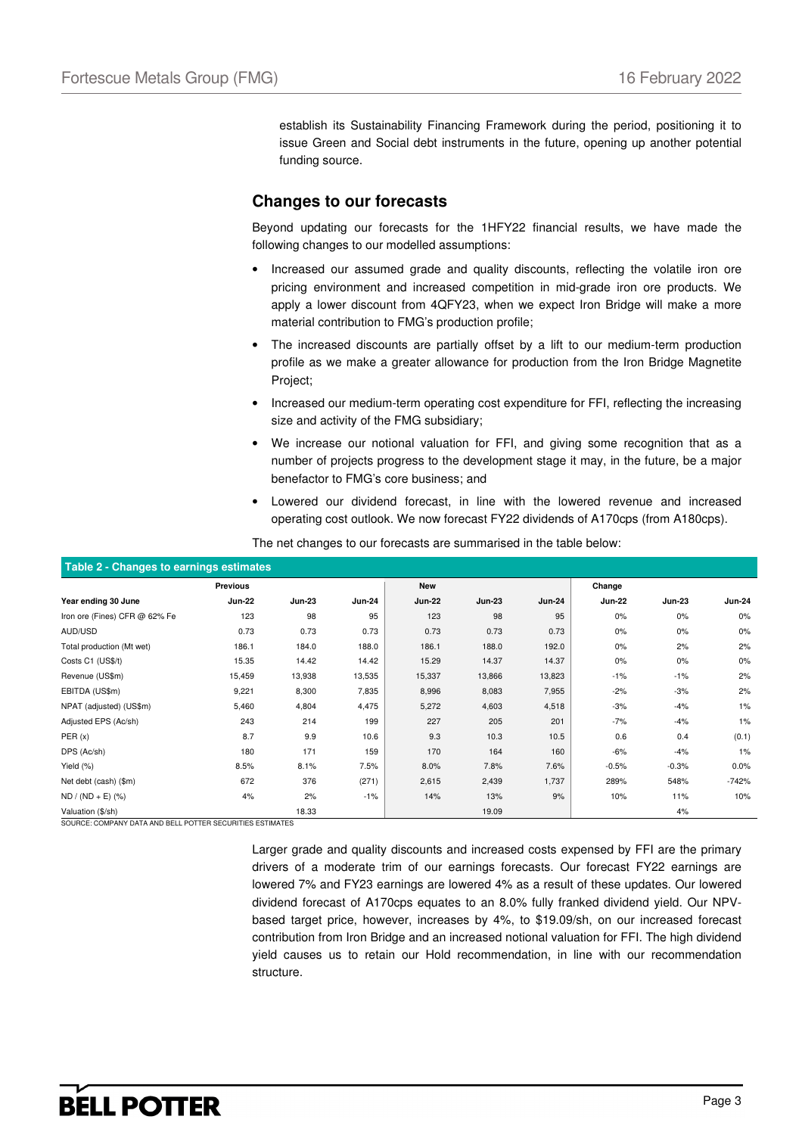establish its Sustainability Financing Framework during the period, positioning it to issue Green and Social debt instruments in the future, opening up another potential funding source.

## **Changes to our forecasts**

Beyond updating our forecasts for the 1HFY22 financial results, we have made the following changes to our modelled assumptions:

- Increased our assumed grade and quality discounts, reflecting the volatile iron ore pricing environment and increased competition in mid-grade iron ore products. We apply a lower discount from 4QFY23, when we expect Iron Bridge will make a more material contribution to FMG's production profile;
- The increased discounts are partially offset by a lift to our medium-term production profile as we make a greater allowance for production from the Iron Bridge Magnetite Project;
- Increased our medium-term operating cost expenditure for FFI, reflecting the increasing size and activity of the FMG subsidiary;
- We increase our notional valuation for FFI, and giving some recognition that as a number of projects progress to the development stage it may, in the future, be a major benefactor to FMG's core business; and
- Lowered our dividend forecast, in line with the lowered revenue and increased operating cost outlook. We now forecast FY22 dividends of A170cps (from A180cps).

| Table 2 - Changes to earnings estimates |               |               |               |               |               |               |               |               |               |  |  |  |  |
|-----------------------------------------|---------------|---------------|---------------|---------------|---------------|---------------|---------------|---------------|---------------|--|--|--|--|
|                                         | Previous      |               |               | New           |               |               | Change        |               |               |  |  |  |  |
| Year ending 30 June                     | <b>Jun-22</b> | <b>Jun-23</b> | <b>Jun-24</b> | <b>Jun-22</b> | <b>Jun-23</b> | <b>Jun-24</b> | <b>Jun-22</b> | <b>Jun-23</b> | <b>Jun-24</b> |  |  |  |  |
| Iron ore (Fines) CFR @ 62% Fe           | 123           | 98            | 95            | 123           | 98            | 95            | 0%            | 0%            | 0%            |  |  |  |  |
| AUD/USD                                 | 0.73          | 0.73          | 0.73          | 0.73          | 0.73          | 0.73          | 0%            | 0%            | 0%            |  |  |  |  |
| Total production (Mt wet)               | 186.1         | 184.0         | 188.0         | 186.1         | 188.0         | 192.0         | 0%            | 2%            | 2%            |  |  |  |  |
| Costs C1 (US\$/t)                       | 15.35         | 14.42         | 14.42         | 15.29         | 14.37         | 14.37         | 0%            | 0%            | 0%            |  |  |  |  |
| Revenue (US\$m)                         | 15,459        | 13,938        | 13,535        | 15,337        | 13,866        | 13,823        | $-1%$         | $-1%$         | 2%            |  |  |  |  |
| EBITDA (US\$m)                          | 9,221         | 8,300         | 7,835         | 8,996         | 8,083         | 7,955         | $-2%$         | $-3%$         | 2%            |  |  |  |  |
| NPAT (adjusted) (US\$m)                 | 5,460         | 4,804         | 4,475         | 5,272         | 4,603         | 4,518         | $-3%$         | $-4%$         | 1%            |  |  |  |  |
| Adjusted EPS (Ac/sh)                    | 243           | 214           | 199           | 227           | 205           | 201           | $-7%$         | $-4%$         | 1%            |  |  |  |  |
| PER(x)                                  | 8.7           | 9.9           | 10.6          | 9.3           | 10.3          | 10.5          | 0.6           | 0.4           | (0.1)         |  |  |  |  |
| DPS (Ac/sh)                             | 180           | 171           | 159           | 170           | 164           | 160           | $-6%$         | $-4%$         | 1%            |  |  |  |  |
| Yield (%)                               | 8.5%          | 8.1%          | 7.5%          | 8.0%          | 7.8%          | 7.6%          | $-0.5%$       | $-0.3%$       | 0.0%          |  |  |  |  |
| Net debt (cash) (\$m)                   | 672           | 376           | (271)         | 2,615         | 2,439         | 1,737         | 289%          | 548%          | $-742%$       |  |  |  |  |
| $ND / (ND + E)$ (%)                     | 4%            | 2%            | $-1%$         | 14%           | 13%           | 9%            | 10%           | 11%           | 10%           |  |  |  |  |
| Valuation (\$/sh)                       |               | 18.33         |               |               | 19.09         |               |               | 4%            |               |  |  |  |  |

The net changes to our forecasts are summarised in the table below:

SOURCE: COMPANY DATA AND BELL POTTER SECURITIES ESTIMATES

Larger grade and quality discounts and increased costs expensed by FFI are the primary drivers of a moderate trim of our earnings forecasts. Our forecast FY22 earnings are lowered 7% and FY23 earnings are lowered 4% as a result of these updates. Our lowered dividend forecast of A170cps equates to an 8.0% fully franked dividend yield. Our NPVbased target price, however, increases by 4%, to \$19.09/sh, on our increased forecast contribution from Iron Bridge and an increased notional valuation for FFI. The high dividend yield causes us to retain our Hold recommendation, in line with our recommendation structure.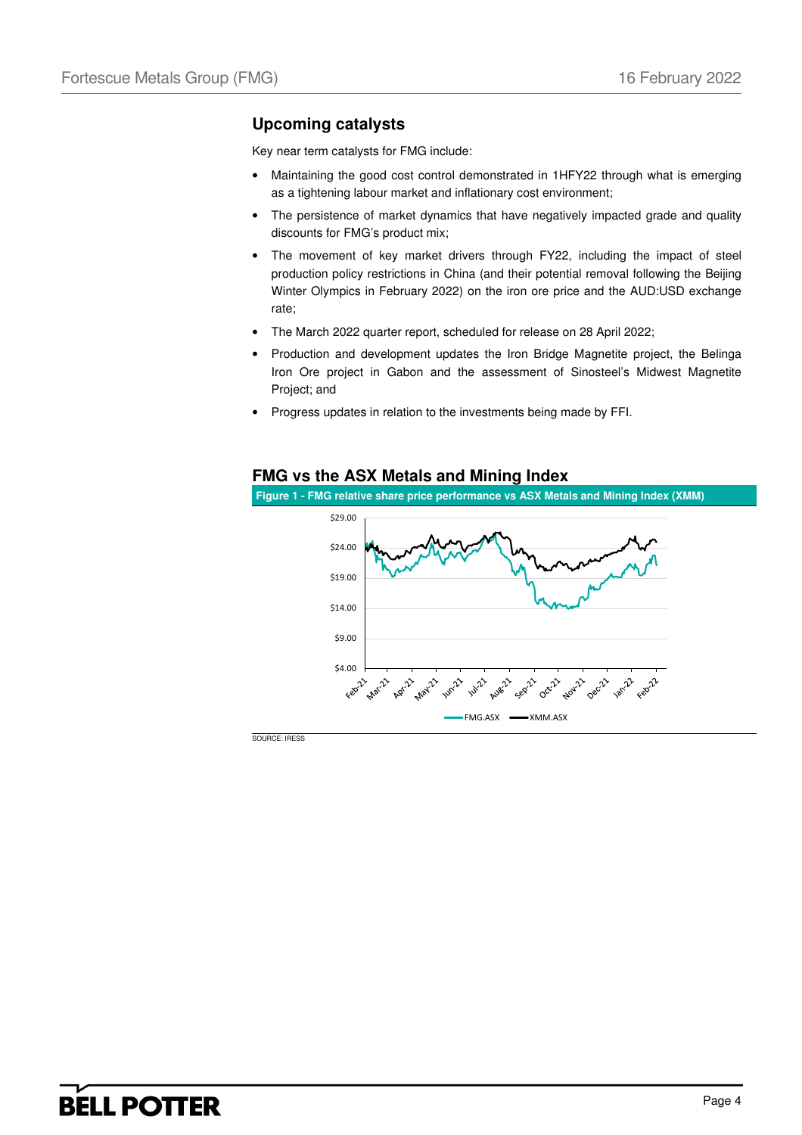## **Upcoming catalysts**

Key near term catalysts for FMG include:

- Maintaining the good cost control demonstrated in 1HFY22 through what is emerging as a tightening labour market and inflationary cost environment;
- The persistence of market dynamics that have negatively impacted grade and quality discounts for FMG's product mix;
- The movement of key market drivers through FY22, including the impact of steel production policy restrictions in China (and their potential removal following the Beijing Winter Olympics in February 2022) on the iron ore price and the AUD:USD exchange rate;
- The March 2022 quarter report, scheduled for release on 28 April 2022;
- Production and development updates the Iron Bridge Magnetite project, the Belinga Iron Ore project in Gabon and the assessment of Sinosteel's Midwest Magnetite Project; and
- Progress updates in relation to the investments being made by FFI.

### **FMG vs the ASX Metals and Mining Index**

**Figure 1 - FMG relative share price performance vs ASX Metals and Mining Index (XMM)** 

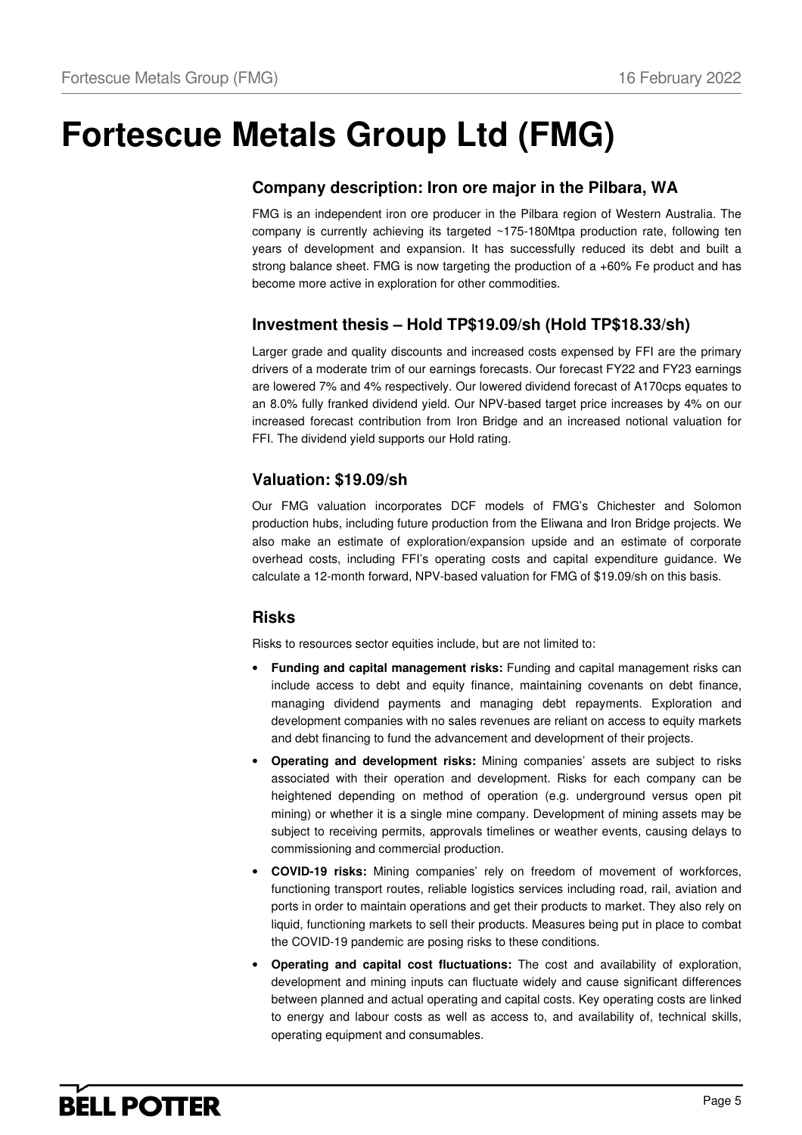# **Fortescue Metals Group Ltd (FMG)**

## **Company description: Iron ore major in the Pilbara, WA**

FMG is an independent iron ore producer in the Pilbara region of Western Australia. The company is currently achieving its targeted  $\sim$ 175-180Mtpa production rate, following ten years of development and expansion. It has successfully reduced its debt and built a strong balance sheet. FMG is now targeting the production of a  $+60\%$  Fe product and has become more active in exploration for other commodities.

# **Investment thesis – Hold TP\$19.09/sh (Hold TP\$18.33/sh)**

Larger grade and quality discounts and increased costs expensed by FFI are the primary drivers of a moderate trim of our earnings forecasts. Our forecast FY22 and FY23 earnings are lowered 7% and 4% respectively. Our lowered dividend forecast of A170cps equates to an 8.0% fully franked dividend yield. Our NPV-based target price increases by 4% on our increased forecast contribution from Iron Bridge and an increased notional valuation for FFI. The dividend yield supports our Hold rating.

## **Valuation: \$19.09/sh**

Our FMG valuation incorporates DCF models of FMG's Chichester and Solomon production hubs, including future production from the Eliwana and Iron Bridge projects. We also make an estimate of exploration/expansion upside and an estimate of corporate overhead costs, including FFI's operating costs and capital expenditure guidance. We calculate a 12-month forward, NPV-based valuation for FMG of \$19.09/sh on this basis.

## **Risks**

Risks to resources sector equities include, but are not limited to:

- **Funding and capital management risks:** Funding and capital management risks can include access to debt and equity finance, maintaining covenants on debt finance, managing dividend payments and managing debt repayments. Exploration and development companies with no sales revenues are reliant on access to equity markets and debt financing to fund the advancement and development of their projects.
- **Operating and development risks:** Mining companies' assets are subject to risks associated with their operation and development. Risks for each company can be heightened depending on method of operation (e.g. underground versus open pit mining) or whether it is a single mine company. Development of mining assets may be subject to receiving permits, approvals timelines or weather events, causing delays to commissioning and commercial production.
- **COVID-19 risks:** Mining companies' rely on freedom of movement of workforces, functioning transport routes, reliable logistics services including road, rail, aviation and ports in order to maintain operations and get their products to market. They also rely on liquid, functioning markets to sell their products. Measures being put in place to combat the COVID-19 pandemic are posing risks to these conditions.
- **Operating and capital cost fluctuations:** The cost and availability of exploration, development and mining inputs can fluctuate widely and cause significant differences between planned and actual operating and capital costs. Key operating costs are linked to energy and labour costs as well as access to, and availability of, technical skills, operating equipment and consumables.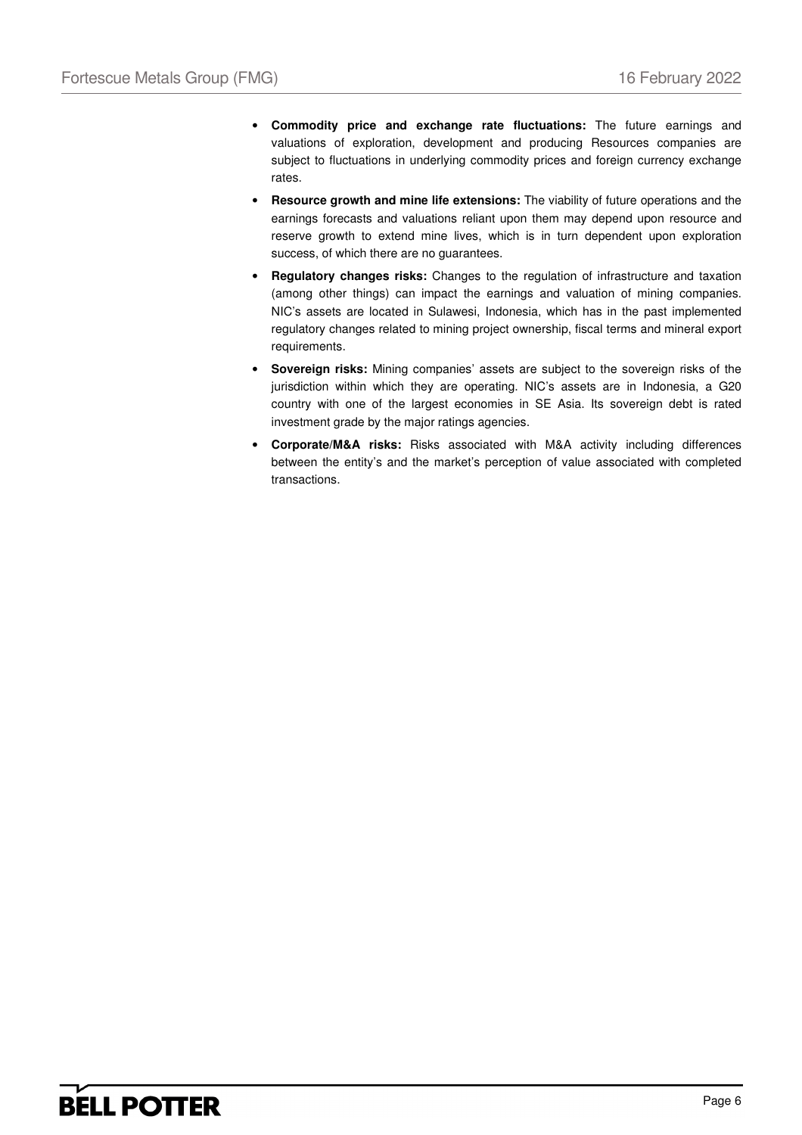- **Commodity price and exchange rate fluctuations:** The future earnings and valuations of exploration, development and producing Resources companies are subject to fluctuations in underlying commodity prices and foreign currency exchange rates.
- **Resource growth and mine life extensions:** The viability of future operations and the earnings forecasts and valuations reliant upon them may depend upon resource and reserve growth to extend mine lives, which is in turn dependent upon exploration success, of which there are no guarantees.
- **Regulatory changes risks:** Changes to the regulation of infrastructure and taxation (among other things) can impact the earnings and valuation of mining companies. NIC's assets are located in Sulawesi, Indonesia, which has in the past implemented regulatory changes related to mining project ownership, fiscal terms and mineral export requirements.
- **Sovereign risks:** Mining companies' assets are subject to the sovereign risks of the jurisdiction within which they are operating. NIC's assets are in Indonesia, a G20 country with one of the largest economies in SE Asia. Its sovereign debt is rated investment grade by the major ratings agencies.
- **Corporate/M&A risks:** Risks associated with M&A activity including differences between the entity's and the market's perception of value associated with completed transactions.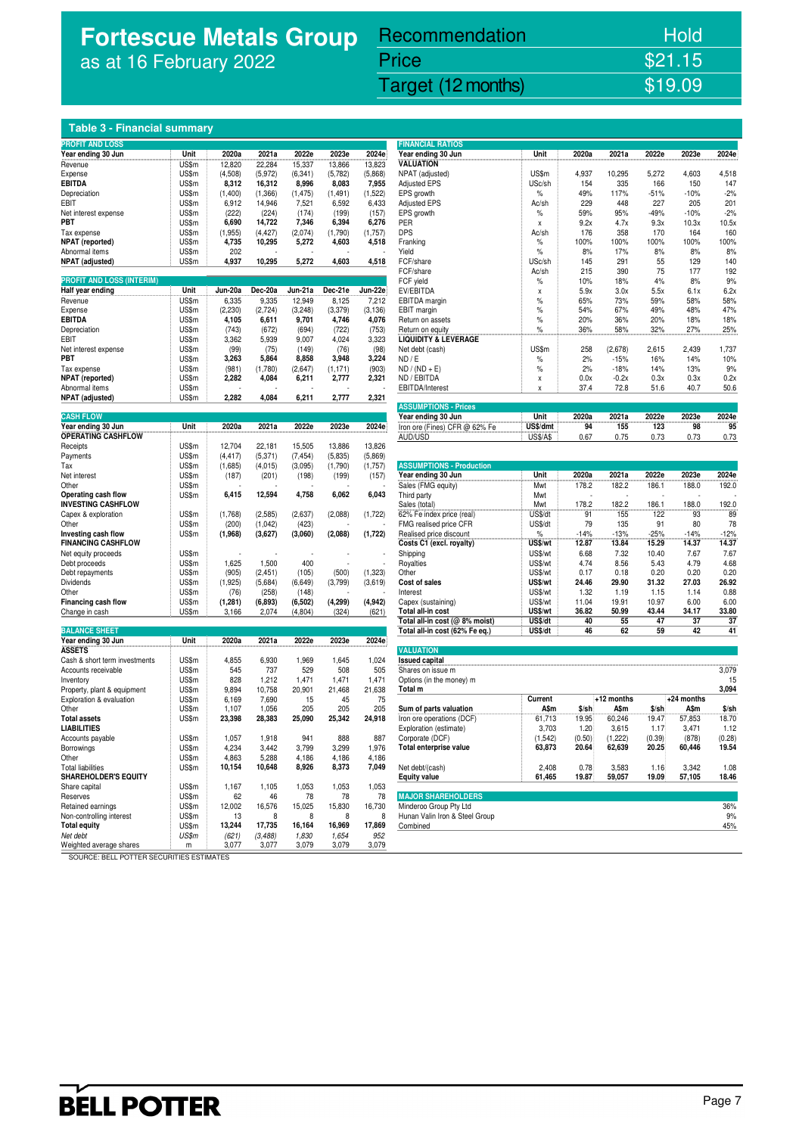# **Fortescue Metals Group**  as at 16 February 2022

# Recommendation Hold

# Fortescue Metals Group (FMG) 16 February 2022 Target (12 months) \$19.09

Price \$21.15

### **Table 3 - Financial summary**

| <b>PROFIT AND LOSS</b>                                  |       |          |          |          |          |             | <b>FINANCIAL RATIOS</b>                             |                    |                |                |                |               |               |
|---------------------------------------------------------|-------|----------|----------|----------|----------|-------------|-----------------------------------------------------|--------------------|----------------|----------------|----------------|---------------|---------------|
| Year ending 30 Jun                                      | Unit  | 2020a    | 2021a    | 2022e    | 2023e    | 2024e       | Year ending 30 Jun                                  | Unit               | 2020a          | 2021a          | 2022e          | 2023e         | 2024e         |
| Revenue                                                 | US\$m | 12,820   | 22,284   | 15,337   | 13,866   | 13,823      | <b>VALUATION</b>                                    |                    |                |                |                |               |               |
| Expense                                                 | US\$m | (4,508)  | (5,972)  | (6, 341) | (5,782)  | (5,868)     | NPAT (adjusted)                                     | US\$m              | 4,937          | 10,295         | 5,272          | 4,603         | 4,518         |
| <b>EBITDA</b>                                           | US\$m | 8,312    | 16,312   | 8,996    | 8,083    | 7,955       | <b>Adjusted EPS</b>                                 | USc/sh             | 154            | 335            | 166            | 150           | 147           |
| Depreciation                                            | US\$m | (1,400)  | (1, 366) | (1, 475) | (1, 491) | (1, 522)    | EPS growth                                          | $\%$               | 49%            | 117%           | $-51%$         | $-10%$        | $-2%$         |
| EBIT                                                    | US\$m | 6,912    | 14,946   | 7,521    | 6,592    | 6,433       | <b>Adjusted EPS</b>                                 | Ac/sh              | 229            | 448            | 227            | 205           | 201           |
| Net interest expense                                    | US\$m | (222)    | (224)    | (174)    | (199)    | (157)       | EPS growth                                          | $\%$               | 59%            | 95%            | $-49%$         | $-10%$        | $-2%$         |
| PBT                                                     | US\$m | 6,690    | 14,722   | 7,346    | 6,394    | 6,276       | PER                                                 | X                  | 9.2x           | 4.7x           | 9.3x           | 10.3x         | 10.5x         |
| Tax expense                                             | US\$m | (1,955)  | (4, 427) | (2,074)  | (1,790)  | (1,757)     | <b>DPS</b>                                          | Ac/sh              | 176            | 358            | 170            | 164           | 160           |
| <b>NPAT</b> (reported)                                  | US\$m | 4,735    | 10,295   | 5,272    | 4,603    | 4,518       | Franking                                            | $\%$               | 100%           | 100%           | 100%           | 100%          | 100%          |
| Abnormal items                                          | US\$m | 202      |          |          |          |             | Yield                                               | $\%$               | 8%             | 17%            | 8%             | 8%            | 8%            |
| <b>NPAT</b> (adjusted)                                  | US\$m | 4,937    | 10,295   | 5,272    | 4,603    | 4,518       | FCF/share<br>FCF/share                              | USc/sh             | 145<br>215     | 291<br>390     | 55<br>75       | 129<br>177    | 140<br>192    |
| <b>PROFIT AND LOSS (INTERIM)</b>                        |       |          |          |          |          |             | FCF yield                                           | Ac/sh<br>$\%$      | 10%            | 18%            | 4%             | 8%            | 9%            |
| Half year ending                                        | Unit  | Jun-20a  | Dec-20a  | Jun-21a  | Dec-21e  | Jun-22e     | EV/EBITDA                                           | X                  | 5.9x           | 3.0x           | 5.5x           | 6.1x          | 6.2x          |
| Revenue                                                 | US\$m | 6,335    | 9,335    | 12,949   | 8,125    | 7,212       | EBITDA margin                                       | %                  | 65%            | 73%            | 59%            | 58%           | 58%           |
| Expense                                                 | US\$m | (2, 230) | (2, 724) | (3, 248) | (3, 379) | (3, 136)    | EBIT margin                                         | $\%$               | 54%            | 67%            | 49%            | 48%           | 47%           |
| <b>EBITDA</b>                                           | US\$m | 4,105    | 6,611    | 9,701    | 4,746    | 4,076       | Return on assets                                    | $\%$               | 20%            | 36%            | 20%            | 18%           | 18%           |
| Depreciation                                            | US\$m | (743)    | (672)    | (694)    | (722)    | (753)       | Return on equity                                    | $\%$               | 36%            | 58%            | 32%            | 27%           | 25%           |
| EBIT                                                    | US\$m | 3,362    | 5,939    | 9,007    | 4,024    | 3,323       | <b>LIQUIDITY &amp; LEVERAGE</b>                     |                    |                |                |                |               |               |
| Net interest expense                                    | US\$m | (99)     | (75)     | (149)    | (76)     | (98)        | Net debt (cash)                                     | US\$m              | 258            | (2,678)        | 2,615          | 2,439         | 1,737         |
| PBT                                                     | US\$m | 3,263    | 5,864    | 8,858    | 3,948    | 3,224       | ND/E                                                | $\%$               | 2%             | $-15%$         | 16%            | 14%           | 10%           |
| Tax expense                                             | US\$m | (981)    | (1,780)  | (2,647)  | (1, 171) | (903)       | $ND / (ND + E)$                                     | $\%$               | 2%             | $-18%$         | 14%            | 13%           | 9%            |
| <b>NPAT</b> (reported)                                  | US\$m | 2,282    | 4,084    | 6,211    | 2,777    | 2,321       | ND / EBITDA                                         | χ                  | 0.0x           | $-0.2x$        | 0.3x           | 0.3x          | 0.2x          |
| Abnormal items                                          | US\$m |          |          |          |          |             | EBITDA/Interest                                     | X                  | 37.4           | 72.8           | 51.6           | 40.7          | 50.6          |
| <b>NPAT</b> (adjusted)                                  | US\$m | 2,282    | 4,084    | 6,211    | 2,777    | 2,321       |                                                     |                    |                |                |                |               |               |
|                                                         |       |          |          |          |          |             | <b>ASSUMPTIONS - Prices</b>                         |                    |                |                |                |               |               |
| <b>CASH FLOW</b>                                        |       |          |          |          |          |             | Year ending 30 Jun                                  | Unit               | 2020a          | 2021a          | 2022e          | 2023e         | 2024e         |
| Year ending 30 Jun<br><b>OPERATING CASHFLOW</b>         | Unit  | 2020a    | 2021a    | 2022e    | 2023e    | 2024e       | Iron ore (Fines) CFR @ 62% Fe                       | US\$/dmt           | 94             | 155            | 123            | 98            | 95            |
|                                                         | US\$m | 12,704   | 22,181   | 15,505   | 13,886   | 13,826      | AUD/USD                                             | <b>US\$/A\$</b>    | 0.67           | 0.75           | 0.73           | 0.73          | 0.73          |
| Receipts<br>Payments                                    | US\$m | (4, 417) | (5, 371) | (7, 454) | (5,835)  | (5,869)     |                                                     |                    |                |                |                |               |               |
| Tax                                                     | US\$m | (1,685)  | (4, 015) | (3,095)  | (1,790)  | (1,757)     | <b>ASSUMPTIONS - Production</b>                     |                    |                |                |                |               |               |
| Net interest                                            | US\$m | (187)    | (201)    | (198)    | (199)    | (157)       | Year ending 30 Jun                                  | Unit               | 2020a          | 2021a          | 2022e          | 2023e         | 2024e         |
| Other                                                   | US\$m |          |          |          |          |             | Sales (FMG equity)                                  | Mwt                | 178.2          | 182.2          | 186.1          | 188.0         | 192.0         |
| Operating cash flow                                     | US\$m | 6,415    | 12,594   | 4,758    | 6,062    | 6,043       | Third party                                         | Mwt                |                |                |                |               |               |
| <b>INVESTING CASHFLOW</b>                               |       |          |          |          |          |             | Sales (total)                                       | Mwt                | 178.2          | 182.2          | 186.1          | 188.0         | 192.0         |
| Capex & exploration                                     | US\$m | (1,768)  | (2, 585) | (2,637)  | (2,088)  | (1, 722)    | 62% Fe index price (real)                           | US\$/dt            | 91             | 155            | 122            | 93            | 89            |
| Other                                                   | US\$m | (200)    | (1,042)  | (423)    |          |             | FMG realised price CFR                              | US\$/dt            | 79             | 135            | 91             | 80            | 78            |
| Investing cash flow                                     | US\$m | (1,968)  | (3,627)  | (3,060)  | (2,088)  | (1, 722)    | Realised price discount                             | $\%$               | $-14%$         | $-13%$         | $-25%$         | $-14%$        | $-12%$        |
| <b>FINANCING CASHFLOW</b>                               |       |          |          |          |          |             | Costs C1 (excl. royalty)                            | US\$/wt            | 12.87          | 13.84          | 15.29          | 14.37         | 14.37         |
| Net equity proceeds                                     | US\$m |          |          |          |          |             | Shipping                                            | US\$/wt            | 6.68           | 7.32           | 10.40          | 7.67          | 7.67          |
| Debt proceeds                                           | US\$m | 1,625    | 1,500    | 400      |          |             | Royalties                                           | US\$/wt            | 4.74           | 8.56           | 5.43           | 4.79          | 4.68          |
| Debt repayments                                         | US\$m | (905)    | (2, 451) | (105)    | (500)    | (1, 323)    | Other                                               | US\$/wt            | 0.17           | 0.18           | 0.20           | 0.20          | 0.20          |
| Dividends                                               | US\$m | (1,925)  | (5,684)  | (6, 649) | (3,799)  | (3,619)     | Cost of sales                                       | US\$/wt            | 24.46          | 29.90          | 31.32          | 27.03         | 26.92         |
| Other                                                   | US\$m | (76)     | (258)    | (148)    |          |             | Interest                                            | US\$/wt            | 1.32           | 1.19           | 1.15           | 1.14          | 0.88          |
| <b>Financing cash flow</b>                              | US\$m | (1, 281) | (6, 893) | (6, 502) | (4, 299) | (4, 942)    | Capex (sustaining)                                  | US\$/wt            | 11.04<br>36.82 | 19.91<br>50.99 | 10.97<br>43.44 | 6.00<br>34.17 | 6.00          |
| Change in cash                                          | US\$m | 3,166    | 2,074    | (4,804)  | (324)    | (621)       | Total all-in cost<br>Total all-in cost (@ 8% moist) | US\$/wt<br>US\$/dt | 40             | 55             | 47             | 37            | 33.80<br>37   |
| <b>BALANCE SHEET</b>                                    |       |          |          |          |          |             | Total all-in cost (62% Fe eq.)                      | US\$/dt            | 46             | 62             | 59             | 42            | 41            |
| Year ending 30 Jun                                      | Unit  | 2020a    | 2021a    | 2022e    | 2023e    | 2024e       |                                                     |                    |                |                |                |               |               |
| <b>ASSETS</b>                                           |       |          |          |          |          |             | <b>VALUATION</b>                                    |                    |                |                |                |               |               |
| Cash & short term investments                           | US\$m | 4,855    | 6,930    | 1,969    | 1,645    | 1,024       | <b>Issued capital</b>                               |                    |                |                |                |               |               |
| Accounts receivable                                     | US\$m | 545      | 737      | 529      | 508      | 505         | Shares on issue m                                   |                    |                |                |                |               | 3,079         |
| Inventory                                               | US\$m | 828      | 1,212    | 1,471    | 1,471    | 1,471       | Options (in the money) m                            |                    |                |                |                |               | 15            |
| Property, plant & equipment                             | US\$m | 9,894    | 10,758   | 20,901   | 21,468   | 21,638      | Total m                                             |                    |                |                |                |               | 3,094         |
| Exploration & evaluation                                | US\$m | 6,169    | 7,690    | 15       | 45       | 75          |                                                     | Current            |                | +12 months     |                | +24 months    |               |
| Other                                                   | US\$m | 1,107    | 1,056    | 205      | 205      | 205         | Sum of parts valuation                              | A\$m               | $$$ /sh        | A\$m           | $$$ /sh        | A\$m          | $$$ /sh       |
| <b>Total assets</b>                                     | US\$m | 23,398   | 28,383   | 25,090   | 25,342   | 24,918      | Iron ore operations (DCF)                           | 61,713             | 19.95          | 60,246         | 19.47          | 57,853        | 18.70         |
| <b>LIABILITIES</b>                                      |       |          |          |          |          |             | Exploration (estimate)                              | 3,703              | 1.20           | 3,615          | 1.17           | 3,471         | 1.12          |
| Accounts payable                                        | US\$m | 1,057    | 1,918    | 941      | 888      | 887         | Corporate (DCF)                                     | (1, 542)           | (0.50)         | (1,222)        | (0.39)         | (878)         | (0.28)        |
| Borrowings                                              | US\$m | 4,234    | 3,442    | 3,799    | 3,299    | 1,976       | Total enterprise value                              | 63,873             | 20.64          | 62,639         | 20.25          | 60,446        | 19.54         |
| Other                                                   | US\$m | 4,863    | 5,288    | 4,186    | 4,186    | 4,186       |                                                     |                    |                |                |                |               |               |
| <b>Total liabilities</b><br><b>SHAREHOLDER'S EQUITY</b> | US\$m | 10,154   | 10,648   | 8,926    | 8,373    | 7,049       | Net debt/(cash)<br><b>Equity value</b>              | 2,408<br>61,465    | 0.78<br>19.87  | 3,583          | 1.16<br>19.09  | 3,342         | 1.08<br>18.46 |
|                                                         | US\$m | 1,167    | 1,105    | 1,053    | 1,053    |             |                                                     |                    |                | 59,057         |                | 57,105        |               |
| Share capital<br>Reserves                               | US\$m | 62       | 46       | 78       | 78       | 1,053<br>78 | <b>MAJOR SHAREHOLDERS</b>                           |                    |                |                |                |               |               |
| Retained earnings                                       | US\$m | 12,002   | 16,576   | 15,025   | 15,830   | 16,730      | Minderoo Group Pty Ltd                              |                    |                |                |                |               | 36%           |
| Non-controlling interest                                | US\$m | 13       | 8        | 8        | 8        | 8           | Hunan Valin Iron & Steel Group                      |                    |                |                |                |               | 9%            |
| <b>Total equity</b>                                     | US\$m | 13,244   | 17,735   | 16,164   | 16,969   | 17,869      | Combined                                            |                    |                |                |                |               | 45%           |
| Net debt                                                | US\$m | (621)    | (3, 488) | 1,830    | 1,654    | 952         |                                                     |                    |                |                |                |               |               |
| Weighted average shares                                 | m     | 3,077    | 3,077    | 3,079    | 3,079    | 3,079       |                                                     |                    |                |                |                |               |               |

| <b>PROFIT AND LOSS</b>           |                |          |          |           |          |          | <b>FINANCIAL RATIOS</b>         |          |        |         |         |        |        |
|----------------------------------|----------------|----------|----------|-----------|----------|----------|---------------------------------|----------|--------|---------|---------|--------|--------|
| Year ending 30 Jun               | Unit<br>minniù | 2020a    | 2021a    | 2022e     | 2023e    | 2024e    | Year ending 30 Jun              | Unit     | 2020a  | 2021a   | 2022e   | 2023e  | 2024e  |
| Revenue                          | US\$m          | 12,820   | 22,284   | 15,337    | 13,866   | 13,823   | <b>VALUATION</b>                |          |        |         |         |        |        |
| Expense                          | US\$m          | (4,508)  | (5,972)  | (6, 341)  | (5,782)  | (5,868)  | NPAT (adjusted)                 | US\$m    | 4,937  | 10,295  | 5,272   | 4,603  | 4,518  |
| EBITDA                           | US\$m          | 8,312    | 16,312   | 8,996     | 8,083    | 7,955    | Adjusted EPS                    | USc/sh   | 154    | 335     | 166     | 150    | 147    |
| Depreciation                     | US\$m          | (1,400)  | (1,366)  | (1, 475)  | (1, 491) | (1, 522) | EPS growth                      | %        | 49%    | 117%    | $-51%$  | $-10%$ | $-2%$  |
| EBIT                             | US\$m          | 6,912    | 14,946   | 7,521     | 6,592    | 6,433    | Adjusted EPS                    | Ac/sh    | 229    | 448     | 227     | 205    | 201    |
| Net interest expense             | US\$m          | (222)    | (224)    | (174)     | (199)    | (157)    | EPS growth                      | %        | 59%    | 95%     | $-49%$  | $-10%$ | $-2%$  |
| PBT                              | US\$m          | 6,690    | 14,722   | 7,346     | 6,394    | 6,276    | PER                             | X        | 9.2x   | 4.7x    | 9.3x    | 10.3x  | 10.5x  |
| Tax expense                      | US\$m          | (1.955)  | (4, 427) | (2,074)   | (1,790)  | (1,757)  | <b>DPS</b>                      | Ac/sh    | 176    | 358     | 170     | 164    | 160    |
| <b>NPAT</b> (reported)           | US\$m          | 4,735    | 10,295   | 5,272     | 4,603    | 4,518    | Franking                        | $\%$     | 100%   | 100%    | 100%    | 100%   | 100%   |
| Abnormal items                   | US\$m          | 202      |          |           |          |          | Yield                           | $\%$     | 8%     | 17%     | 8%      | 8%     | 8%     |
| <b>NPAT</b> (adjusted)           | US\$m          | 4,937    | 10.295   | 5.272     | 4.603    | 4.518    | FCF/share                       | USc/sh   | 145    | 291     | 55      | 129    | 140    |
|                                  |                |          |          |           |          |          | FCF/share                       | Ac/sh    | 215    | 390     | 75      | 177    | 192    |
| <b>PROFIT AND LOSS (INTERIM)</b> |                |          |          |           |          |          | FCF yield                       | $\%$     | 10%    | 18%     | 4%      | 8%     | 9%     |
| Half year ending                 | Unit           | Jun-20a  | Dec-20a  | $Jun-21a$ | Dec-21e  | Jun-22e  | EV/EBITDA                       | X        | 5.9x   | 3.0x    | 5.5x    | 6.1x   | 6.2x   |
| Revenue                          | US\$m          | 6,335    | 9,335    | 12,949    | 8.125    | 7.212    | EBITDA margin                   | $\%$     | 65%    | 73%     | 59%     | 58%    | 58%    |
| Expense                          | US\$m          | (2, 230) | (2,724)  | (3, 248)  | (3, 379) | (3, 136) | EBIT margin                     | $\%$     | 54%    | 67%     | 49%     | 48%    | 47%    |
| EBITDA                           | US\$m          | 4,105    | 6,611    | 9.701     | 4,746    | 4,076    | Return on assets                | $\%$     | 20%    | 36%     | 20%     | 18%    | 18%    |
| Depreciation                     | US\$m          | (743)    | (672)    | (694)     | (722)    | (753)    | Return on equity                | $\%$     | 36%    | 58%     | 32%     | 27%    | 25%    |
| EBIT                             | US\$m          | 3,362    | 5,939    | 9,007     | 4.024    | 3.323    | <b>LIQUIDITY &amp; LEVERAGE</b> |          |        |         |         |        |        |
| Net interest expense             | US\$m          | (99)     | (75)     | (149)     | (76)     | (98)     | Net debt (cash)                 | US\$m    | 258    | (2,678) | 2,615   | 2,439  | 1,737  |
| PBT                              | US\$m          | 3,263    | 5.864    | 8,858     | 3,948    | 3,224    | ND/E                            | $\%$     | 2%     | $-15%$  | 16%     | 14%    | 10%    |
| Tax expense                      | US\$m          | (981)    | (1,780)  | (2,647)   | (1, 171) | (903)    | $ND / (ND + E)$                 | $\%$     | 2%     | $-18%$  | 14%     | 13%    | 9%     |
| <b>NPAT</b> (reported)           | US\$m          | 2,282    | 4,084    | 6,211     | 2,777    | 2,321    | ND / EBITDA                     | X        | 0.0x   | $-0.2x$ | 0.3x    | 0.3x   | 0.2x   |
| Abnormal items                   | US\$m          |          |          |           |          |          | EBITDA/Interest                 | X        | 37.4   | 72.8    | 51.6    | 40.7   | 50.6   |
| <b>NPAT</b> (adjusted)           | US\$m          | 2,282    | 4.084    | 6,211     | 2,777    | 2,321    |                                 |          |        |         |         |        |        |
|                                  |                |          |          |           |          |          | <b>ASSUMPTIONS - Prices</b>     |          |        |         |         |        |        |
| <b>CASH FLOW</b>                 |                |          |          |           |          |          | Year ending 30 Jun              | Unit     | 2020a  | 2021a   | 2022e   | 2023e  | 2024e  |
| Year ending 30 Jun               | Unit           | 2020a    | 2021a    | 2022e     | 2023e    | 2024e    | Iron ore (Fines) CFR @ 62% Fe   | US\$/dmt | <br>94 | <br>155 | <br>123 | <br>98 | <br>95 |

| Payments                  | US\$m | (4,417)  | (5,371)  | (7,454)  | (5,835)  | (5.869)  |                                 |                |        |        |        |        |        |
|---------------------------|-------|----------|----------|----------|----------|----------|---------------------------------|----------------|--------|--------|--------|--------|--------|
| Tax                       | US\$m | (1,685)  | (4, 015) | (3,095)  | (1,790)  | (1,757)  | <b>ASSUMPTIONS - Production</b> |                |        |        |        |        |        |
| <b>Net interest</b>       | US\$m | (187)    | (201)    | (198)    | (199)    | (157)    | Year ending 30 Jun              | Unit           | 2020a  | 2021a  | 2022e  | 2023e  | 2024e  |
| Other                     | US\$m |          |          |          |          |          | Sales (FMG equity)              | Mwt            | 178.2  | 182.2  | 186.1  | 188.0  | 192.0  |
| Operating cash flow       | US\$m | 6,415    | 12,594   | 4,758    | 6,062    | 6,043    | Third party                     | Mwt            |        |        |        |        |        |
| INVESTING CASHFLOW        |       |          |          |          |          |          | Sales (total)                   | Mwt            | 178.2  | 182.2  | 186.1  | 188.0  | 192.0  |
| Capex & exploration       | US\$m | 1,768)   | (2,585)  | (2,637)  | (2,088)  | (1,722)  | 62% Fe index price (real)       | US\$/dt        | 91     | 155    | 122    | 93     | 89     |
| Other                     | US\$m | (200)    | (1,042)  | (423)    |          |          | FMG realised price CFR          | US\$/dt        | 79     | 135    | 91     | 80     | 78     |
| Investing cash flow       | US\$m | (1,968)  | (3,627)  | (3,060)  | (2,088)  | (1,722)  | Realised price discount         |                | $-14%$ | $-13%$ | $-25%$ | $-14%$ | $-12%$ |
| <b>FINANCING CASHFLOW</b> |       |          |          |          |          |          | Costs C1 (excl. royalty)        | US\$/wt        | 12.87  | 13.84  | 15.29  | 14.37  | 14.37  |
| Net equity proceeds       | US\$m |          |          |          |          |          | Shipping                        | US\$/wt        | 6.68   | 7.32   | 10.40  | 7.67   | 7.67   |
| Debt proceeds             | US\$m | 1.625    | 1.500    | 400      |          |          | Royalties                       | US\$/wt        | 4.74   | 8.56   | 5.43   | 4.79   | 4.68   |
| Debt repayments           | US\$m | (905)    | (2, 451) | (105)    | (500)    | (1, 323) | Other                           | US\$/wt        | 0.17   | 0.18   | 0.20   | 0.20   | 0.20   |
| <b>Dividends</b>          | US\$m | (1, 925) | (5,684)  | (6, 649) | (3,799)  | (3,619)  | Cost of sales                   | US\$/wt        | 24.46  | 29.90  | 31.32  | 27.03  | 26.92  |
| Other                     | US\$m | (76)     | (258)    | (148)    |          | ٠.       | Interest                        | US\$/wt        | 1.32   | 1.19   | 1.15   | 1.14   | 0.88   |
| Financing cash flow       | US\$m | (1,281)  | (6, 893) | (6, 502) | (4, 299) | (4,942)  | Capex (sustaining)              | US\$/wt        | 11.04  | 19.91  | 10.97  | 6.00   | 6.00   |
| Change in cash            | US\$m | 3.166    | 2.074    | (4, 804) | (324)    | (621)    | Total all-in cost               | US\$/wt        | 36.82  | 50.99  | 43.44  | 34.17  | 33.80  |
|                           |       |          |          |          |          |          | Total all-in cost (@ 8% moist)  | US\$/dt        | 40     | 55     | 47     | 37     | 37     |
| <b>RAI ANCE SHEET</b>     |       |          |          |          |          |          | Total all-in cost (62% Fe eq )  | H <sub>2</sub> | 46     | 62     | 59     | 42     | 41     |

| ASSETS                        |       |                      |          |             |        |        | <b>VALUATION</b>               |          |                 |              |                   |              |        |
|-------------------------------|-------|----------------------|----------|-------------|--------|--------|--------------------------------|----------|-----------------|--------------|-------------------|--------------|--------|
| Cash & short term investments | US\$m | 4,855                | 6.930    | 969,        | 1.645  | 1,024  | <b>Issued capital</b>          |          |                 |              |                   |              |        |
| Accounts receivable           | US\$m | 545                  | 737      | 529         | 508    | 505    | Shares on issue m              |          |                 |              |                   |              | 3,079  |
| Inventory                     | US\$m | 828                  | 1,212    | <b>.471</b> | 1.471  | 1,471  | Options (in the money) m       |          |                 |              |                   |              | 15     |
| Property, plant & equipment   | US\$m | 9,894                | 10,758   | 20,901      | 21,468 | 21,638 | Total m                        |          |                 |              |                   |              | 3,094  |
| Exploration & evaluation      | US\$m | 6,169                | 7,690    | 15          | 45     | 75     |                                | Current  |                 | $+12$ months |                   | +24 months   |        |
| Other                         | US\$m | 1,107                | 1,056    | 205         | 205    | 205    | Sum of parts valuation         | A\$m     | $S/\mathsf{sh}$ | <b>A</b> \$m | $S/\mathsf{sh}$   | <b>A</b> \$m | \$/sh  |
| <b>Total assets</b>           | US\$m | 23,398               | 28,383   | 25,090      | 25,342 | 24,918 | Iron ore operations (DCF)      | 61,713   | 19.95           | 60,246       | 19.47             | 57,853       | 18.70  |
| LIABILITIES                   |       |                      |          |             |        |        | Exploration (estimate)         | 3,703    | 1.20            | 3,615        | 1.17 <sup>3</sup> | 3,471        | 1.12   |
| Accounts payable              | US\$m | 1,057                | 1.918    | 941         | 888    | 887    | Corporate (DCF)                | (1, 542) | (0.50)          | 1,222        | (0.39)            | (878)        | (0.28) |
| Borrowings                    | US\$m | 4,234                | 3.442    | 3,799       | 3,299  | 1,976  | Total enterprise value         | 63,873   | 20.64           | 62,639       | 20.25             | 60,446       | 19.54  |
| Other                         | US\$m | 4,863                | 5,288    | 4,186       | 4,186  | 4,186  |                                |          |                 |              |                   |              |        |
| <b>Total liabilities</b>      | US\$m | 10,154               | 10.648   | 8.926       | 8,373  | 7.049  | Net debt/(cash)                | 2,408    | 0.78            | 3,583        | 1.16              | 3,342        | 1.08   |
| <b>SHAREHOLDER'S EQUITY</b>   |       |                      |          |             |        |        | <b>Equity value</b>            | 61,465   | 19.87           | 59,057       | 19.09             | 57,105       | 18.46  |
| Share capital                 | US\$m | 1,167                | 1,105    | 0.053       | 1,053  | 1,053  |                                |          |                 |              |                   |              |        |
| Reserves                      | US\$m | 62                   | 46       | 78          | 78     | 78     | <b>MAJOR SHAREHOLDERS</b>      |          |                 |              |                   |              |        |
| Retained earnings             | US\$m | 12,002               | 16,576   | 15,025      | 15,830 | 16,730 | Minderoo Group Pty Ltd         |          |                 |              |                   |              | 36%    |
| Non-controlling interest      | US\$m | 13                   | 8        | 8           | 8      | 8      | Hunan Valin Iron & Steel Group |          |                 |              |                   |              | 9%     |
| Total equity                  | US\$m | 13,244               | 17.735   | 16.164      | 16,969 | 17,869 | Combined                       |          |                 |              |                   |              | 45%    |
| Net debt                      | US\$m | (621)                | (3, 488) | 1,830       | 1,654  | 952    |                                |          |                 |              |                   |              |        |
|                               |       | $\sim$ $\sim$ $\sim$ |          | 0.070       | 0.070  | 0.070  |                                |          |                 |              |                   |              |        |

SOURCE: BELL POTTER SECURITIES ESTIMATES